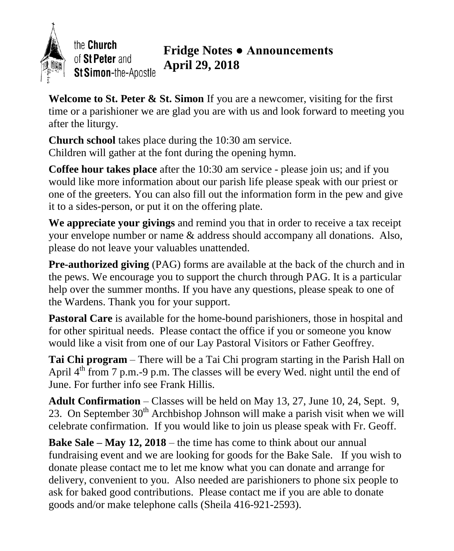

the **Church** of St Peter and St Simon-the-Apostle

# **Fridge Notes ● Announcements April 29, 2018**

**Welcome to St. Peter & St. Simon** If you are a newcomer, visiting for the first time or a parishioner we are glad you are with us and look forward to meeting you after the liturgy.

**Church school** takes place during the 10:30 am service. Children will gather at the font during the opening hymn.

**Coffee hour takes place** after the 10:30 am service - please join us; and if you would like more information about our parish life please speak with our priest or one of the greeters. You can also fill out the information form in the pew and give it to a sides-person, or put it on the offering plate.

**We appreciate your givings** and remind you that in order to receive a tax receipt your envelope number or name & address should accompany all donations. Also, please do not leave your valuables unattended.

**Pre-authorized giving** (PAG) forms are available at the back of the church and in the pews. We encourage you to support the church through PAG. It is a particular help over the summer months. If you have any questions, please speak to one of the Wardens. Thank you for your support.

Pastoral Care is available for the home-bound parishioners, those in hospital and for other spiritual needs. Please contact the office if you or someone you know would like a visit from one of our Lay Pastoral Visitors or Father Geoffrey.

**Tai Chi program** – There will be a Tai Chi program starting in the Parish Hall on April  $4<sup>th</sup>$  from 7 p.m.-9 p.m. The classes will be every Wed. night until the end of June. For further info see Frank Hillis.

**Adult Confirmation** – Classes will be held on May 13, 27, June 10, 24, Sept. 9, 23. On September  $30<sup>th</sup>$  Archbishop Johnson will make a parish visit when we will celebrate confirmation. If you would like to join us please speak with Fr. Geoff.

**Bake Sale – May 12, 2018** – the time has come to think about our annual fundraising event and we are looking for goods for the Bake Sale. If you wish to donate please contact me to let me know what you can donate and arrange for delivery, convenient to you. Also needed are parishioners to phone six people to ask for baked good contributions. Please contact me if you are able to donate goods and/or make telephone calls (Sheila 416-921-2593).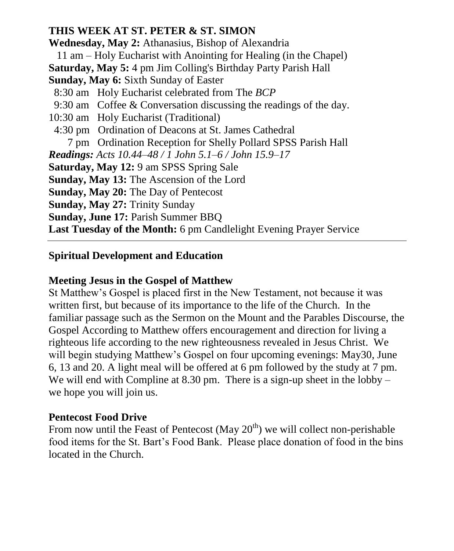## **THIS WEEK AT ST. PETER & ST. SIMON**

**Wednesday, May 2:** Athanasius, Bishop of Alexandria 11 am – Holy Eucharist with Anointing for Healing (in the Chapel) **Saturday, May 5:** 4 pm Jim Colling's Birthday Party Parish Hall **Sunday, May 6:** Sixth Sunday of Easter 8:30 am Holy Eucharist celebrated from The *BCP* 9:30 am Coffee & Conversation discussing the readings of the day. 10:30 am Holy Eucharist (Traditional) 4:30 pm Ordination of Deacons at St. James Cathedral 7 pm Ordination Reception for Shelly Pollard SPSS Parish Hall *Readings: Acts 10.44–48 / 1 John 5.1–6 / John 15.9–17* **Saturday, May 12:** 9 am SPSS Spring Sale **Sunday, May 13:** The Ascension of the Lord **Sunday, May 20:** The Day of Pentecost **Sunday, May 27:** Trinity Sunday **Sunday, June 17:** Parish Summer BBQ **Last Tuesday of the Month:** 6 pm Candlelight Evening Prayer Service

## **Spiritual Development and Education**

#### **Meeting Jesus in the Gospel of Matthew**

St Matthew's Gospel is placed first in the New Testament, not because it was written first, but because of its importance to the life of the Church. In the familiar passage such as the Sermon on the Mount and the Parables Discourse, the Gospel According to Matthew offers encouragement and direction for living a righteous life according to the new righteousness revealed in Jesus Christ. We will begin studying Matthew's Gospel on four upcoming evenings: May30, June 6, 13 and 20. A light meal will be offered at 6 pm followed by the study at 7 pm. We will end with Compline at 8.30 pm. There is a sign-up sheet in the lobby – we hope you will join us.

#### **Pentecost Food Drive**

From now until the Feast of Pentecost (May  $20<sup>th</sup>$ ) we will collect non-perishable food items for the St. Bart's Food Bank. Please place donation of food in the bins located in the Church.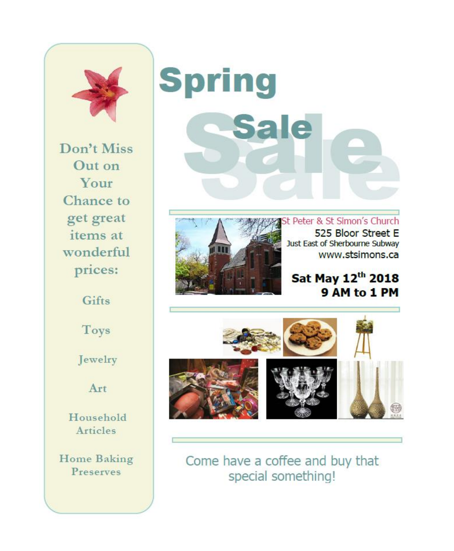

Don't Miss Out on Your Chance to get great items at wonderful prices:

Gifts

Toys

Jewelry

Art

Household Articles

**Home Baking** Preserves

# **Spring Sale**



St Peter & St Simon's Church 525 Bloor Street E Just East of Sherbourne Subway www.stsimons.ca

Sat May 12th 2018 9 AM to 1 PM



Come have a coffee and buy that special something!